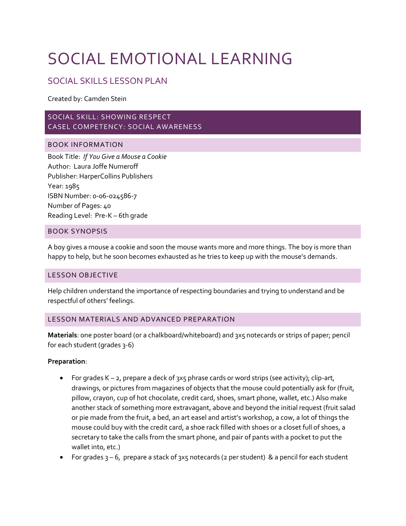# SOCIAL EMOTIONAL LEARNING

# SOCIAL SKILLS LESSON PLAN

Created by: Camden Stein

# SOCIAL SKILL: SHOWING RESPECT CASEL COMPETENCY: SOCIAL AWARENESS

# BOOK INFORMATION

Book Title: *If You Give a Mouse a Cookie* Author: Laura Joffe Numeroff Publisher: HarperCollins Publishers Year: 1985 ISBN Number: 0-06-024586-7 Number of Pages: 40 Reading Level: Pre-K – 6th grade

# BOOK SYNOPSIS

A boy gives a mouse a cookie and soon the mouse wants more and more things. The boy is more than happy to help, but he soon becomes exhausted as he tries to keep up with the mouse's demands.

## LESSON OBJECTIVE

Help children understand the importance of respecting boundaries and trying to understand and be respectful of others' feelings.

## LESSON MATERIALS AND ADVANCED PREPARATION

**Materials**: one poster board (or a chalkboard/whiteboard) and 3x5 notecards or strips of paper; pencil for each student (grades 3-6)

## **Preparation**:

- For grades  $K 2$ , prepare a deck of 3x5 phrase cards or word strips (see activity); clip-art, drawings, or pictures from magazines of objects that the mouse could potentially ask for (fruit, pillow, crayon, cup of hot chocolate, credit card, shoes, smart phone, wallet, etc.) Also make another stack of something more extravagant, above and beyond the initial request (fruit salad or pie made from the fruit, a bed, an art easel and artist's workshop, a cow, a lot of things the mouse could buy with the credit card, a shoe rack filled with shoes or a closet full of shoes, a secretary to take the calls from the smart phone, and pair of pants with a pocket to put the wallet into, etc.)
- For grades  $3 6$ , prepare a stack of  $3x5$  notecards (2 per student) & a pencil for each student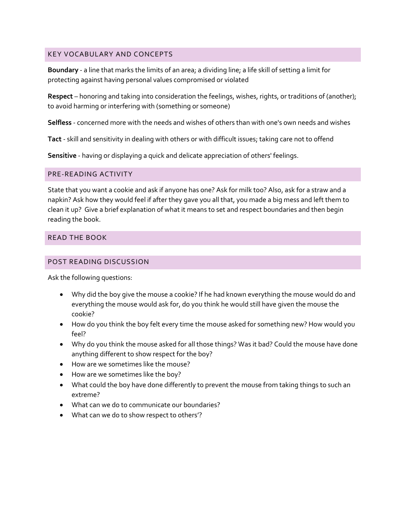## KEY VOCABULARY AND CONCEPTS

**Boundary** - a line that marks the limits of an area; a dividing line; a life skill of setting a limit for protecting against having personal values compromised or violated

**Respect** – honoring and taking into consideration the feelings, wishes, rights, or traditions of (another); to avoid harming or interfering with (something or someone)

**Selfless** - concerned more with the needs and wishes of others than with one's own needs and wishes

**Tact** - skill and sensitivity in dealing with others or with difficult issues; taking care not to offend

**Sensitive** - having or displaying a quick and delicate appreciation of others' feelings.

#### PRE-READING ACTIVITY

State that you want a cookie and ask if anyone has one? Ask for milk too? Also, ask for a straw and a napkin? Ask how they would feel if after they gave you all that, you made a big mess and left them to clean it up? Give a brief explanation of what it means to set and respect boundaries and then begin reading the book.

# READ THE BOOK

#### POST READING DISCUSSION

Ask the following questions:

- Why did the boy give the mouse a cookie? If he had known everything the mouse would do and everything the mouse would ask for, do you think he would still have given the mouse the cookie?
- How do you think the boy felt every time the mouse asked for something new? How would you feel?
- Why do you think the mouse asked for all those things? Was it bad? Could the mouse have done anything different to show respect for the boy?
- How are we sometimes like the mouse?
- How are we sometimes like the boy?
- What could the boy have done differently to prevent the mouse from taking things to such an extreme?
- What can we do to communicate our boundaries?
- What can we do to show respect to others'?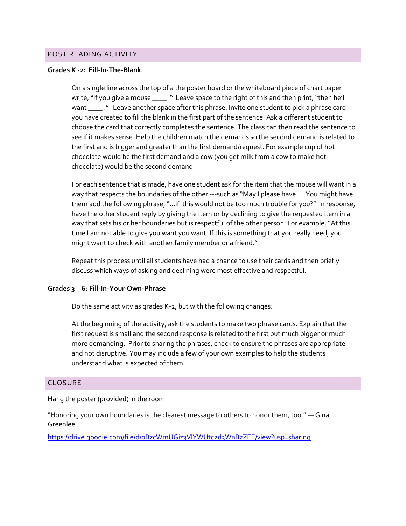#### POST READING ACTIVITY

#### **Grades K -2: Fill-In-The-Blank**

On a single line across the top of a the poster board or the whiteboard piece of chart paper write, "If you give a mouse \_\_\_\_\_." Leave space to the right of this and then print, "then he'll want \_\_\_\_\_." Leave another space after this phrase. Invite one student to pick a phrase card you have created to fill the blank in the first part of the sentence. Ask a different student to choose the card that correctly completes the sentence. The class can then read the sentence to see if it makes sense. Help the children match the demands so the second demand is related to the first and is bigger and greater than the first demand/request. For example cup of hot chocolate would be the first demand and a cow (you get milk from a cow to make hot chocolate) would be the second demand.

For each sentence that is made, have one student ask for the item that the mouse will want in a way that respects the boundaries of the other ---such as "May I please have…..You might have them add the following phrase, "…if this would not be too much trouble for you?" In response, have the other student reply by giving the item or by declining to give the requested item in a way that sets his or her boundaries but is respectful of the other person. For example, "At this time I am not able to give you want you want. If this is something that you really need, you might want to check with another family member or a friend."

Repeat this process until all students have had a chance to use their cards and then briefly discuss which ways of asking and declining were most effective and respectful.

#### **Grades 3 – 6: Fill-In-Your-Own-Phrase**

Do the same activity as grades K-2, but with the following changes:

At the beginning of the activity, ask the students to make two phrase cards. Explain that the first request is small and the second response is related to the first but much bigger or much more demanding. Prior to sharing the phrases, check to ensure the phrases are appropriate and not disruptive. You may include a few of your own examples to help the students understand what is expected of them.

#### CLOSURE

Hang the poster (provided) in the room.

"Honoring your own boundaries is the clearest message to others to honor them, too." ― Gina Greenlee

<https://drive.google.com/file/d/0BzcWmUGiz3VlYWUtc2d3WnBzZEE/view?usp=sharing>